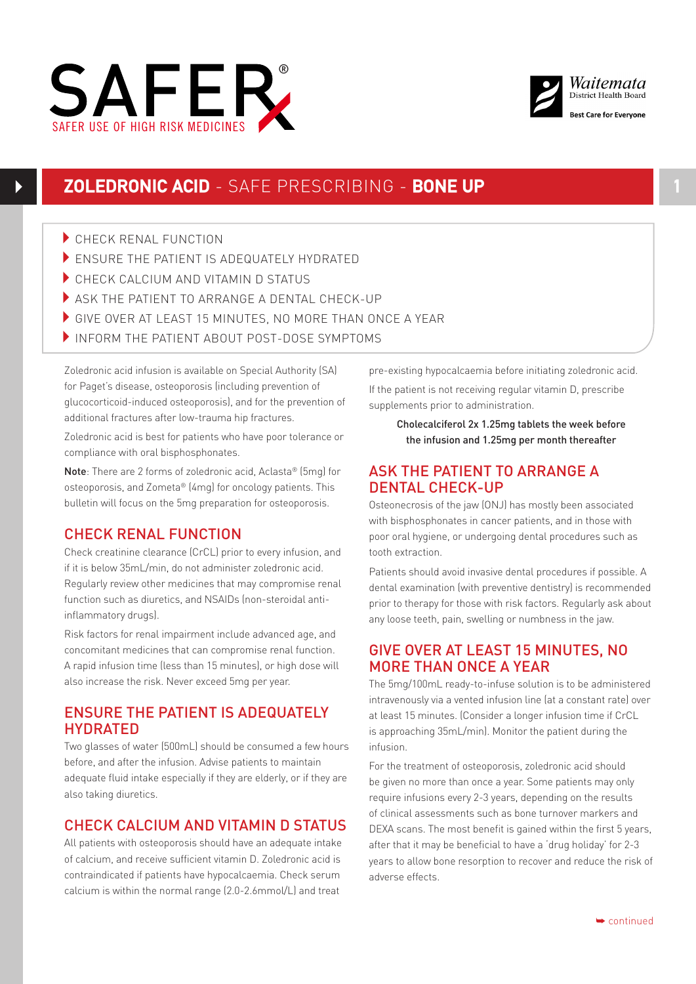



- CHECK RENAL FUNCTION
- ENSURE THE PATIENT IS ADEQUATELY HYDRATED
- CHECK CALCIUM AND VITAMIN D STATUS
- ASK THE PATIENT TO ARRANGE A DENTAL CHECK-UP
- GIVE OVER AT LEAST 15 MINUTES, NO MORE THAN ONCE A YEAR
- INFORM THE PATIENT ABOUT POST-DOSE SYMPTOMS

Zoledronic acid infusion is available on Special Authority (SA) for Paget's disease, osteoporosis (including prevention of glucocorticoid-induced osteoporosis), and for the prevention of additional fractures after low-trauma hip fractures.

Zoledronic acid is best for patients who have poor tolerance or compliance with oral bisphosphonates.

Note: There are 2 forms of zoledronic acid, Aclasta® (5mg) for osteoporosis, and Zometa® (4mg) for oncology patients. This bulletin will focus on the 5mg preparation for osteoporosis.

# CHECK RENAL FUNCTION

Check creatinine clearance (CrCL) prior to every infusion, and if it is below 35mL/min, do not administer zoledronic acid. Regularly review other medicines that may compromise renal function such as diuretics, and NSAIDs (non-steroidal antiinflammatory drugs).

Risk factors for renal impairment include advanced age, and concomitant medicines that can compromise renal function. A rapid infusion time (less than 15 minutes), or high dose will also increase the risk. Never exceed 5mg per year.

### ENSURE THE PATIENT IS ADEQUATELY HYDRATED

Two glasses of water (500mL) should be consumed a few hours before, and after the infusion. Advise patients to maintain adequate fluid intake especially if they are elderly, or if they are also taking diuretics.

# CHECK CALCIUM AND VITAMIN D STATUS

All patients with osteoporosis should have an adequate intake of calcium, and receive sufficient vitamin D. Zoledronic acid is contraindicated if patients have hypocalcaemia. Check serum calcium is within the normal range (2.0-2.6mmol/L) and treat

pre-existing hypocalcaemia before initiating zoledronic acid. If the patient is not receiving regular vitamin D, prescribe supplements prior to administration.

Cholecalciferol 2x 1.25mg tablets the week before the infusion and 1.25mg per month thereafter

## ASK THE PATIENT TO ARRANGE A DENTAL CHECK-UP

Osteonecrosis of the jaw (ONJ) has mostly been associated with bisphosphonates in cancer patients, and in those with poor oral hygiene, or undergoing dental procedures such as tooth extraction.

Patients should avoid invasive dental procedures if possible. A dental examination (with preventive dentistry) is recommended prior to therapy for those with risk factors. Regularly ask about any loose teeth, pain, swelling or numbness in the jaw.

# GIVE OVER AT LEAST 15 MINUTES, NO MORE THAN ONCE A YEAR

The 5mg/100mL ready-to-infuse solution is to be administered intravenously via a vented infusion line (at a constant rate) over at least 15 minutes. (Consider a longer infusion time if CrCL is approaching 35mL/min). Monitor the patient during the infusion.

For the treatment of osteoporosis, zoledronic acid should be given no more than once a year. Some patients may only require infusions every 2-3 years, depending on the results of clinical assessments such as bone turnover markers and DEXA scans. The most benefit is gained within the first 5 years, after that it may be beneficial to have a 'drug holiday' for 2-3 years to allow bone resorption to recover and reduce the risk of adverse effects.